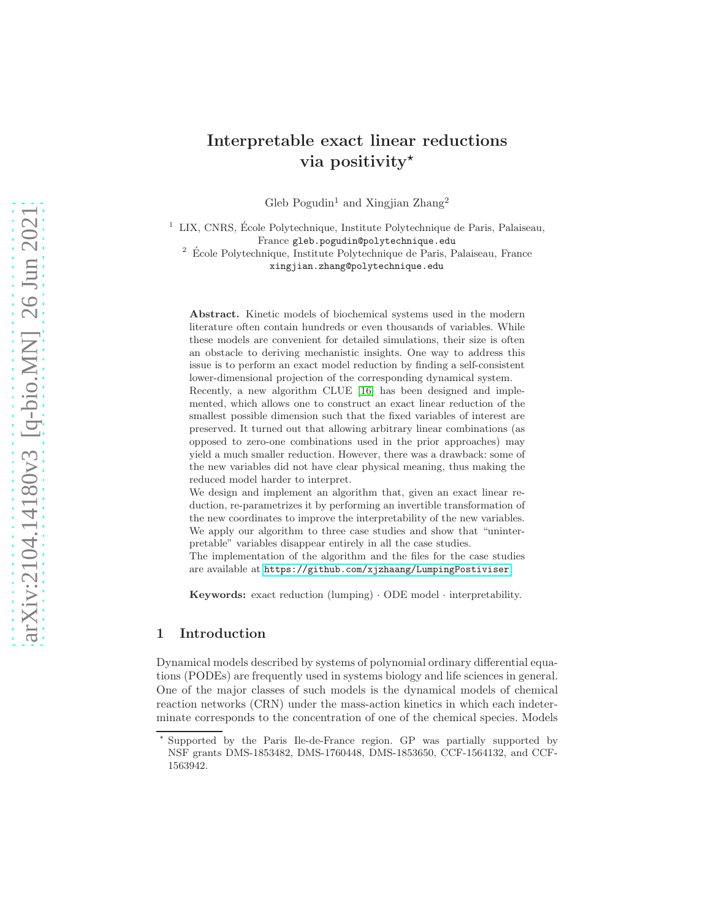# Interpretable exact linear reductions via positivity $\star$

Gleb Pogudin<sup>1</sup> and Xingjian Zhang<sup>2</sup>

 $1$  LIX, CNRS, École Polytechnique, Institute Polytechnique de Paris, Palaiseau, France gleb.pogudin@polytechnique.edu

 $^2\,$ École Polytechnique, Institute Polytechnique de Paris, Palaiseau, France xingjian.zhang@polytechnique.edu

Abstract. Kinetic models of biochemical systems used in the modern literature often contain hundreds or even thousands of variables. While these models are convenient for detailed simulations, their size is often an obstacle to deriving mechanistic insights. One way to address this issue is to perform an exact model reduction by finding a self-consistent lower-dimensional projection of the corresponding dynamical system. Recently, a new algorithm CLUE [\[16\]](#page-16-0) has been designed and implemented, which allows one to construct an exact linear reduction of the smallest possible dimension such that the fixed variables of interest are

preserved. It turned out that allowing arbitrary linear combinations (as opposed to zero-one combinations used in the prior approaches) may yield a much smaller reduction. However, there was a drawback: some of the new variables did not have clear physical meaning, thus making the reduced model harder to interpret.

We design and implement an algorithm that, given an exact linear reduction, re-parametrizes it by performing an invertible transformation of the new coordinates to improve the interpretability of the new variables. We apply our algorithm to three case studies and show that "uninterpretable" variables disappear entirely in all the case studies.

The implementation of the algorithm and the files for the case studies are available at <https://github.com/xjzhaang/LumpingPostiviser>.

Keywords: exact reduction (lumping) · ODE model · interpretability.

## 1 Introduction

Dynamical models described by systems of polynomial ordinary differential equations (PODEs) are frequently used in systems biology and life sciences in general. One of the major classes of such models is the dynamical models of chemical reaction networks (CRN) under the mass-action kinetics in which each indeterminate corresponds to the concentration of one of the chemical species. Models

<sup>⋆</sup> Supported by the Paris Ile-de-France region. GP was partially supported by NSF grants DMS-1853482, DMS-1760448, DMS-1853650, CCF-1564132, and CCF-1563942.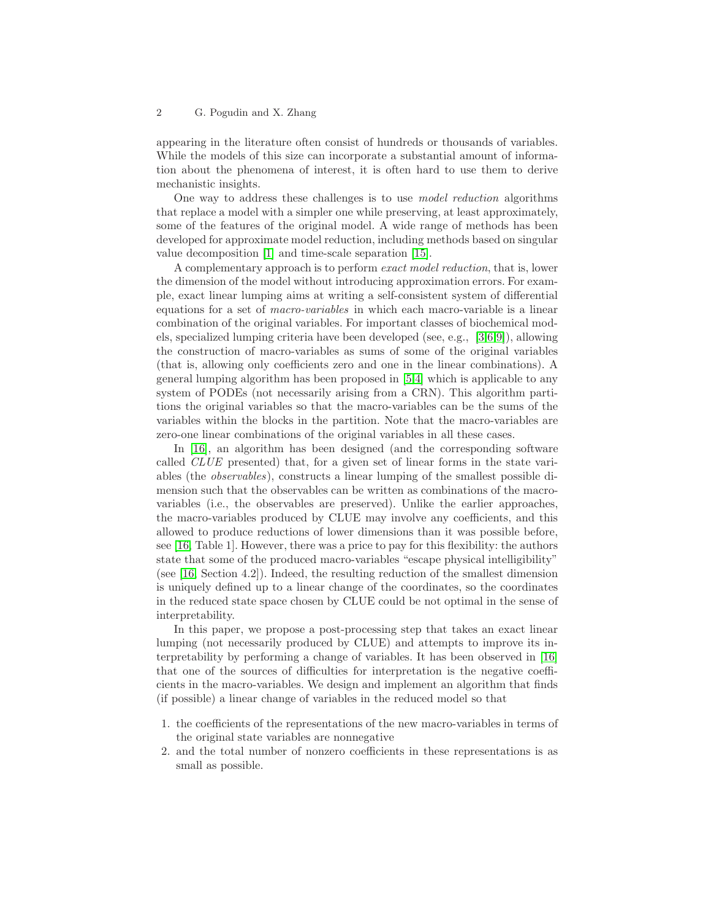appearing in the literature often consist of hundreds or thousands of variables. While the models of this size can incorporate a substantial amount of information about the phenomena of interest, it is often hard to use them to derive mechanistic insights.

One way to address these challenges is to use model reduction algorithms that replace a model with a simpler one while preserving, at least approximately, some of the features of the original model. A wide range of methods has been developed for approximate model reduction, including methods based on singular value decomposition [\[1\]](#page-15-0) and time-scale separation [\[15\]](#page-16-1).

A complementary approach is to perform exact model reduction, that is, lower the dimension of the model without introducing approximation errors. For example, exact linear lumping aims at writing a self-consistent system of differential equations for a set of macro-variables in which each macro-variable is a linear combination of the original variables. For important classes of biochemical models, specialized lumping criteria have been developed (see, e.g., [\[3,](#page-15-1)[6,](#page-16-2)[9\]](#page-16-3)), allowing the construction of macro-variables as sums of some of the original variables (that is, allowing only coefficients zero and one in the linear combinations). A general lumping algorithm has been proposed in [\[5](#page-15-2)[,4\]](#page-15-3) which is applicable to any system of PODEs (not necessarily arising from a CRN). This algorithm partitions the original variables so that the macro-variables can be the sums of the variables within the blocks in the partition. Note that the macro-variables are zero-one linear combinations of the original variables in all these cases.

In [\[16\]](#page-16-0), an algorithm has been designed (and the corresponding software called CLUE presented) that, for a given set of linear forms in the state variables (the observables), constructs a linear lumping of the smallest possible dimension such that the observables can be written as combinations of the macrovariables (i.e., the observables are preserved). Unlike the earlier approaches, the macro-variables produced by CLUE may involve any coefficients, and this allowed to produce reductions of lower dimensions than it was possible before, see [\[16,](#page-16-0) Table 1]. However, there was a price to pay for this flexibility: the authors state that some of the produced macro-variables "escape physical intelligibility" (see [\[16,](#page-16-0) Section 4.2]). Indeed, the resulting reduction of the smallest dimension is uniquely defined up to a linear change of the coordinates, so the coordinates in the reduced state space chosen by CLUE could be not optimal in the sense of interpretability.

In this paper, we propose a post-processing step that takes an exact linear lumping (not necessarily produced by CLUE) and attempts to improve its interpretability by performing a change of variables. It has been observed in [\[16\]](#page-16-0) that one of the sources of difficulties for interpretation is the negative coefficients in the macro-variables. We design and implement an algorithm that finds (if possible) a linear change of variables in the reduced model so that

- 1. the coefficients of the representations of the new macro-variables in terms of the original state variables are nonnegative
- 2. and the total number of nonzero coefficients in these representations is as small as possible.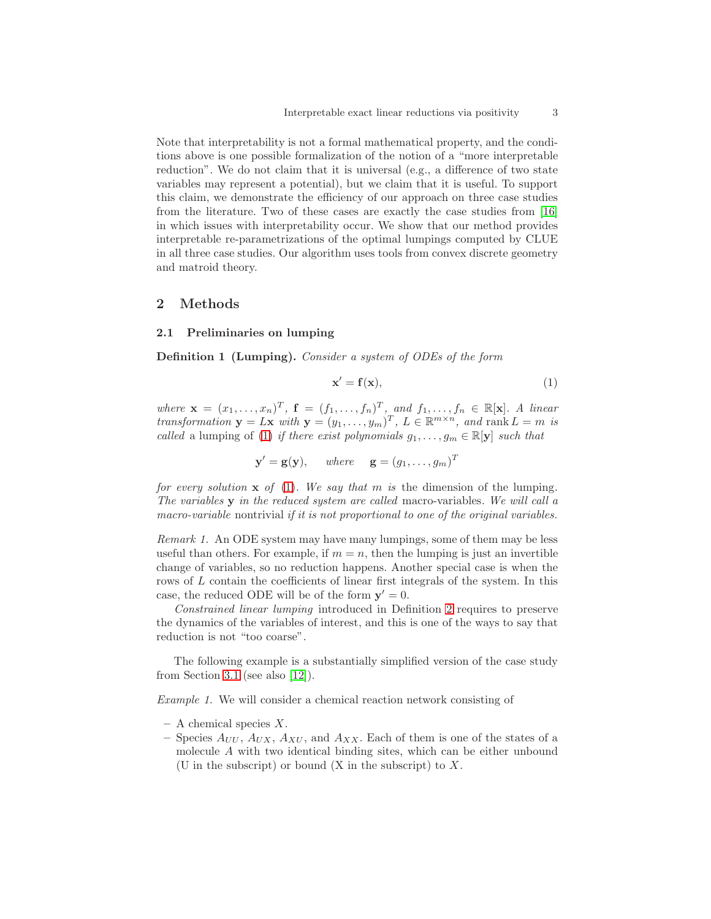Note that interpretability is not a formal mathematical property, and the conditions above is one possible formalization of the notion of a "more interpretable reduction". We do not claim that it is universal (e.g., a difference of two state variables may represent a potential), but we claim that it is useful. To support this claim, we demonstrate the efficiency of our approach on three case studies from the literature. Two of these cases are exactly the case studies from [\[16\]](#page-16-0) in which issues with interpretability occur. We show that our method provides interpretable re-parametrizations of the optimal lumpings computed by CLUE in all three case studies. Our algorithm uses tools from convex discrete geometry and matroid theory.

## 2 Methods

#### 2.1 Preliminaries on lumping

Definition 1 (Lumping). Consider a system of ODEs of the form

<span id="page-2-0"></span>
$$
\mathbf{x}' = \mathbf{f}(\mathbf{x}),\tag{1}
$$

where  $\mathbf{x} = (x_1, \ldots, x_n)^T$ ,  $\mathbf{f} = (f_1, \ldots, f_n)^T$ , and  $f_1, \ldots, f_n \in \mathbb{R}[\mathbf{x}]$ . A linear transformation  $\mathbf{y} = L\mathbf{x}$  with  $\mathbf{y} = (y_1, \ldots, y_m)^T$ ,  $L \in \mathbb{R}^{m \times n}$ , and rank  $L = m$  is called a lumping of [\(1\)](#page-2-0) if there exist polynomials  $g_1, \ldots, g_m \in \mathbb{R}[\mathbf{y}]$  such that

$$
\mathbf{y}' = \mathbf{g}(\mathbf{y}), \quad \text{where} \quad \mathbf{g} = (g_1, \dots, g_m)^T
$$

for every solution  $x$  of [\(1\)](#page-2-0). We say that m is the dimension of the lumping. The variables y in the reduced system are called macro-variables. We will call a macro-variable nontrivial if it is not proportional to one of the original variables.

Remark 1. An ODE system may have many lumpings, some of them may be less useful than others. For example, if  $m = n$ , then the lumping is just an invertible change of variables, so no reduction happens. Another special case is when the rows of L contain the coefficients of linear first integrals of the system. In this case, the reduced ODE will be of the form  $y' = 0$ .

Constrained linear lumping introduced in Definition [2](#page-3-0) requires to preserve the dynamics of the variables of interest, and this is one of the ways to say that reduction is not "too coarse".

<span id="page-2-1"></span>The following example is a substantially simplified version of the case study from Section [3.1](#page-7-0) (see also [\[12\]](#page-16-4)).

Example 1. We will consider a chemical reaction network consisting of

- $-$  A chemical species X.
- Species  $A_{UU}$ ,  $A_{UX}$ ,  $A_{XU}$ , and  $A_{XX}$ . Each of them is one of the states of a molecule A with two identical binding sites, which can be either unbound (U in the subscript) or bound  $(X$  in the subscript) to  $X$ .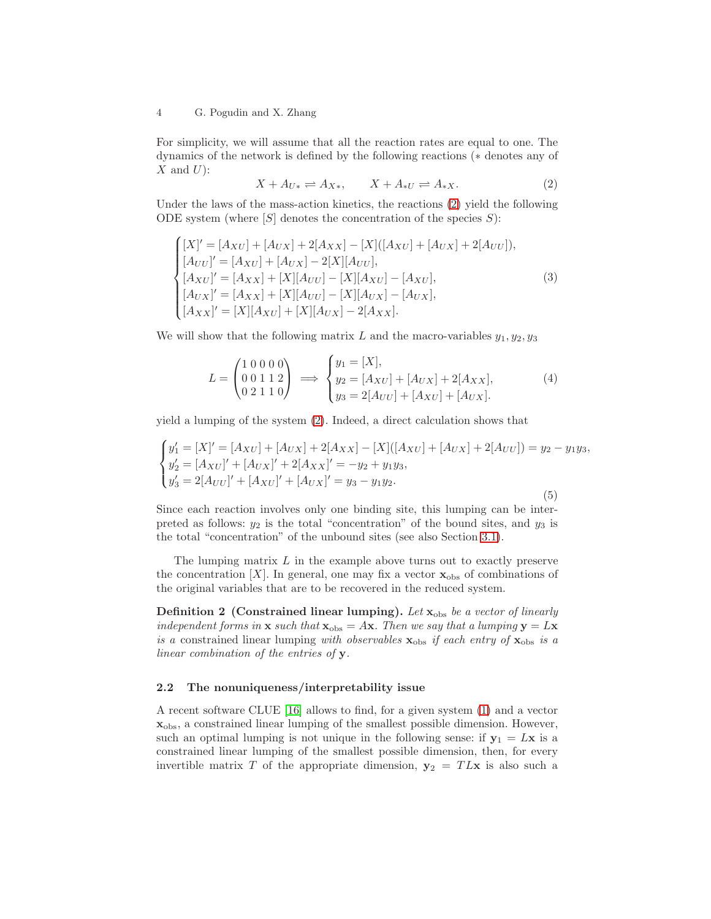For simplicity, we will assume that all the reaction rates are equal to one. The dynamics of the network is defined by the following reactions (∗ denotes any of  $X$  and  $U$ :

<span id="page-3-1"></span>
$$
X + A_{U*} \rightleftharpoons A_{X*}, \qquad X + A_{*U} \rightleftharpoons A_{*X}.
$$
 (2)

Under the laws of the mass-action kinetics, the reactions [\(2\)](#page-3-1) yield the following ODE system (where  $[S]$  denotes the concentration of the species  $S$ ):

<span id="page-3-2"></span>
$$
\begin{cases}\n[X]' = [A_{XU}] + [A_{UX}] + 2[A_{XX}] - [X]([A_{XU}] + [A_{UX}] + 2[A_{UU}]), \\
[A_{UU}]' = [A_{XU}] + [A_{UX}] - 2[X][A_{UU}], \\
[A_{XU}]' = [A_{XX}] + [X][A_{UU}] - [X][A_{XU}] - [A_{XU}], \\
[A_{UX}]' = [A_{XX}] + [X][A_{UU}] - [X][A_{UX}] - [A_{UX}], \\
[A_{XX}]' = [X][A_{XU}] + [X][A_{UX}] - 2[A_{XX}].\n\end{cases}
$$
\n(3)

We will show that the following matrix L and the macro-variables  $y_1, y_2, y_3$ 

<span id="page-3-3"></span>
$$
L = \begin{pmatrix} 1 & 0 & 0 & 0 & 0 \\ 0 & 0 & 1 & 1 & 2 \\ 0 & 2 & 1 & 1 & 0 \end{pmatrix} \implies \begin{cases} y_1 = [X], \\ y_2 = [A_{XU}] + [A_{UX}] + 2[A_{XX}], \\ y_3 = 2[A_{UU}] + [A_{XU}] + [A_{UX}]. \end{cases}
$$
(4)

yield a lumping of the system [\(2\)](#page-3-1). Indeed, a direct calculation shows that

<span id="page-3-4"></span>
$$
\begin{cases}\ny_1' = [X]' = [A_{XU}] + [A_{UX}] + 2[A_{XX}] - [X]([A_{XU}] + [A_{UX}] + 2[A_{UU}]) = y_2 - y_1 y_3, \\
y_2' = [A_{XU}]' + [A_{UX}]' + 2[A_{XX}]' = -y_2 + y_1 y_3, \\
y_3' = 2[A_{UU}]' + [A_{XU}]' + [A_{UX}]' = y_3 - y_1 y_2.\n\end{cases}
$$
\n(5)

Since each reaction involves only one binding site, this lumping can be interpreted as follows:  $y_2$  is the total "concentration" of the bound sites, and  $y_3$  is the total "concentration" of the unbound sites (see also Section [3.1\)](#page-7-0).

The lumping matrix  $L$  in the example above turns out to exactly preserve the concentration  $[X]$ . In general, one may fix a vector  $\mathbf{x}_{obs}$  of combinations of the original variables that are to be recovered in the reduced system.

<span id="page-3-0"></span>Definition 2 (Constrained linear lumping). Let  $x_{obs}$  be a vector of linearly independent forms in  $x$  such that  $x_{obs} = Ax$ . Then we say that a lumping  $y = Lx$ is a constrained linear lumping with observables  $\mathbf{x}_{obs}$  if each entry of  $\mathbf{x}_{obs}$  is a linear combination of the entries of y.

#### 2.2 The nonuniqueness/interpretability issue

A recent software CLUE [\[16\]](#page-16-0) allows to find, for a given system [\(1\)](#page-2-0) and a vector xobs, a constrained linear lumping of the smallest possible dimension. However, such an optimal lumping is not unique in the following sense: if  $y_1 = Lx$  is a constrained linear lumping of the smallest possible dimension, then, for every invertible matrix T of the appropriate dimension,  $y_2 = T L x$  is also such a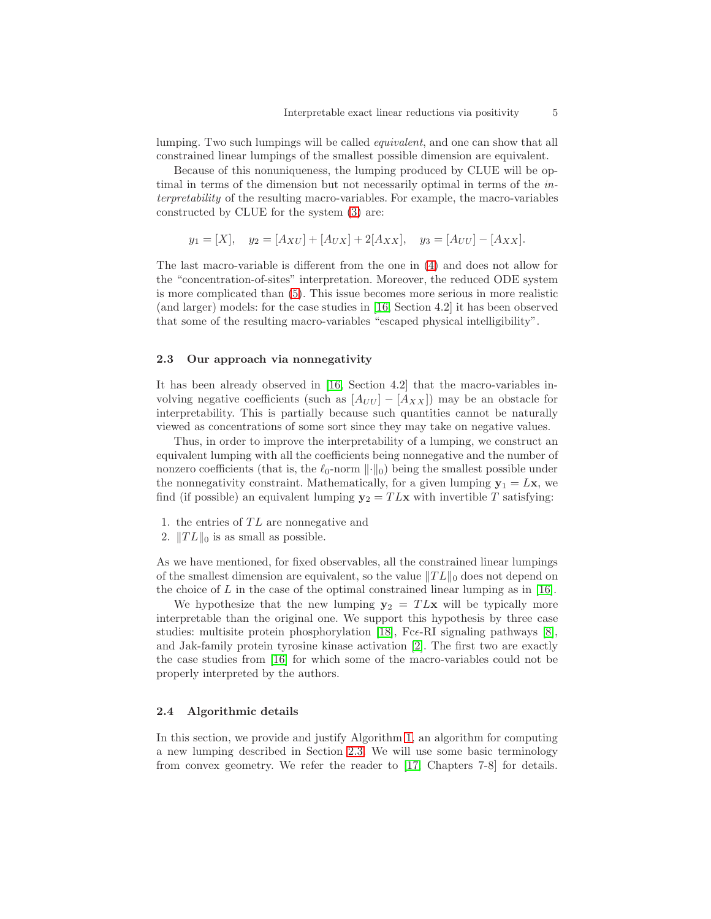lumping. Two such lumpings will be called equivalent, and one can show that all constrained linear lumpings of the smallest possible dimension are equivalent.

Because of this nonuniqueness, the lumping produced by CLUE will be optimal in terms of the dimension but not necessarily optimal in terms of the interpretability of the resulting macro-variables. For example, the macro-variables constructed by CLUE for the system [\(3\)](#page-3-2) are:

$$
y_1 = [X],
$$
  $y_2 = [A_{XU}] + [A_{UX}] + 2[A_{XX}],$   $y_3 = [A_{UU}] - [A_{XX}].$ 

The last macro-variable is different from the one in [\(4\)](#page-3-3) and does not allow for the "concentration-of-sites" interpretation. Moreover, the reduced ODE system is more complicated than [\(5\)](#page-3-4). This issue becomes more serious in more realistic (and larger) models: for the case studies in [\[16,](#page-16-0) Section 4.2] it has been observed that some of the resulting macro-variables "escaped physical intelligibility".

## <span id="page-4-0"></span>2.3 Our approach via nonnegativity

It has been already observed in [\[16,](#page-16-0) Section 4.2] that the macro-variables involving negative coefficients (such as  $[A_{UU}] - [A_{XX}]$ ) may be an obstacle for interpretability. This is partially because such quantities cannot be naturally viewed as concentrations of some sort since they may take on negative values.

Thus, in order to improve the interpretability of a lumping, we construct an equivalent lumping with all the coefficients being nonnegative and the number of nonzero coefficients (that is, the  $\ell_0$ -norm  $\lVert \cdot \rVert_0$ ) being the smallest possible under the nonnegativity constraint. Mathematically, for a given lumping  $y_1 = Lx$ , we find (if possible) an equivalent lumping  $y_2 = T L x$  with invertible T satisfying:

- 1. the entries of  $TL$  are nonnegative and
- 2.  $||TL||_0$  is as small as possible.

As we have mentioned, for fixed observables, all the constrained linear lumpings of the smallest dimension are equivalent, so the value  $||TL||_0$  does not depend on the choice of  $L$  in the case of the optimal constrained linear lumping as in [\[16\]](#page-16-0).

We hypothesize that the new lumping  $y_2 = T L x$  will be typically more interpretable than the original one. We support this hypothesis by three case studies: multisite protein phosphorylation [\[18\]](#page-16-5), Fc $\epsilon$ -RI signaling pathways [\[8\]](#page-16-6), and Jak-family protein tyrosine kinase activation [\[2\]](#page-15-4). The first two are exactly the case studies from [\[16\]](#page-16-0) for which some of the macro-variables could not be properly interpreted by the authors.

#### 2.4 Algorithmic details

In this section, we provide and justify Algorithm [1,](#page-5-0) an algorithm for computing a new lumping described in Section [2.3.](#page-4-0) We will use some basic terminology from convex geometry. We refer the reader to [\[17,](#page-16-7) Chapters 7-8] for details.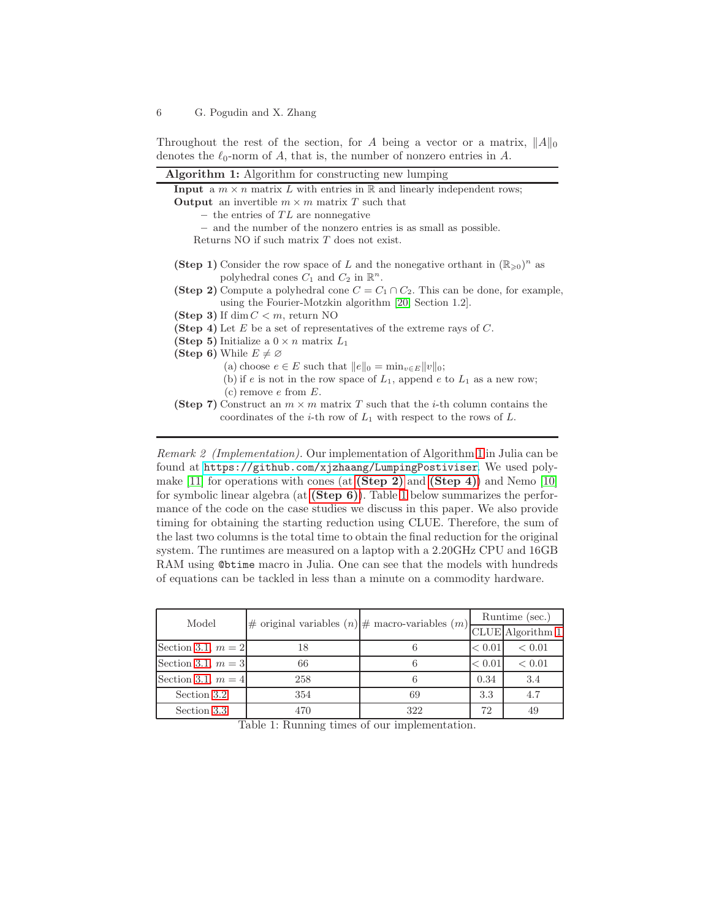Throughout the rest of the section, for A being a vector or a matrix,  $||A||_0$ denotes the  $\ell_0$ -norm of A, that is, the number of nonzero entries in A.

<span id="page-5-1"></span><span id="page-5-0"></span>

| <b>Algorithm 1:</b> Algorithm for constructing new lumping                                                                                                                          |  |  |  |  |  |
|-------------------------------------------------------------------------------------------------------------------------------------------------------------------------------------|--|--|--|--|--|
| <b>Input</b> a $m \times n$ matrix L with entries in R and linearly independent rows;                                                                                               |  |  |  |  |  |
| <b>Output</b> an invertible $m \times m$ matrix T such that                                                                                                                         |  |  |  |  |  |
| - the entries of $TL$ are nonnegative                                                                                                                                               |  |  |  |  |  |
| - and the number of the nonzero entries is as small as possible.                                                                                                                    |  |  |  |  |  |
| Returns NO if such matrix $T$ does not exist.                                                                                                                                       |  |  |  |  |  |
| <b>(Step 1)</b> Consider the row space of L and the nonegative orthant in $(\mathbb{R}_{\geq 0})^n$ as<br>polyhedral cones $C_1$ and $C_2$ in $\mathbb{R}^n$ .                      |  |  |  |  |  |
| <b>(Step 2)</b> Compute a polyhedral cone $C = C_1 \cap C_2$ . This can be done, for example,                                                                                       |  |  |  |  |  |
| using the Fourier-Motzkin algorithm $[20, Section 1.2]$ .                                                                                                                           |  |  |  |  |  |
| (Step 3) If dim $C < m$ , return NO                                                                                                                                                 |  |  |  |  |  |
| <b>(Step 4)</b> Let E be a set of representatives of the extreme rays of C.                                                                                                         |  |  |  |  |  |
| (Step 5) Initialize a $0 \times n$ matrix $L_1$                                                                                                                                     |  |  |  |  |  |
| (Step 6) While $E \neq \emptyset$                                                                                                                                                   |  |  |  |  |  |
| (a) choose $e \in E$ such that $  e  _0 = \min_{v \in E}   v  _0$ ;                                                                                                                 |  |  |  |  |  |
| (b) if e is not in the row space of $L_1$ , append e to $L_1$ as a new row;                                                                                                         |  |  |  |  |  |
| (c) remove $e$ from $E$ .                                                                                                                                                           |  |  |  |  |  |
| <b>(Step 7)</b> Construct an $m \times m$ matrix T such that the <i>i</i> -th column contains the<br>coordinates of the <i>i</i> -th row of $L_1$ with respect to the rows of $L$ . |  |  |  |  |  |
|                                                                                                                                                                                     |  |  |  |  |  |

<span id="page-5-6"></span><span id="page-5-5"></span><span id="page-5-3"></span><span id="page-5-2"></span>Remark 2 (Implementation). Our implementation of Algorithm [1](#page-5-0) in Julia can be found at <https://github.com/xjzhaang/LumpingPostiviser>. We used poly-make [\[11\]](#page-16-9) for operations with cones (at  $(Step 2)$  and  $(Step 4)$ ) and Nemo [\[10\]](#page-16-10) for symbolic linear algebra (at  $(Step 6)$ ). Table [1](#page-5-4) below summarizes the performance of the code on the case studies we discuss in this paper. We also provide timing for obtaining the starting reduction using CLUE. Therefore, the sum of the last two columns is the total time to obtain the final reduction for the original system. The runtimes are measured on a laptop with a 2.20GHz CPU and 16GB RAM using @btime macro in Julia. One can see that the models with hundreds of equations can be tackled in less than a minute on a commodity hardware.

<span id="page-5-4"></span>

| Model                | # original variables $(n)$  # macro-variables $(m)$  CLUE Algorithm 1 |     | Runtime (sec.) |            |
|----------------------|-----------------------------------------------------------------------|-----|----------------|------------|
|                      |                                                                       |     |                |            |
| Section 3.1, $m = 2$ |                                                                       |     | < 0.01         | ${}< 0.01$ |
| Section 3.1, $m = 3$ | 66                                                                    |     | < 0.01         | < 0.01     |
| Section 3.1, $m = 4$ | 258                                                                   |     | 0.34           | 3.4        |
| Section 3.2          | 354                                                                   | 69  | 3.3            | 4.7        |
| Section 3.3          | 470                                                                   | 322 | 72             |            |

Table 1: Running times of our implementation.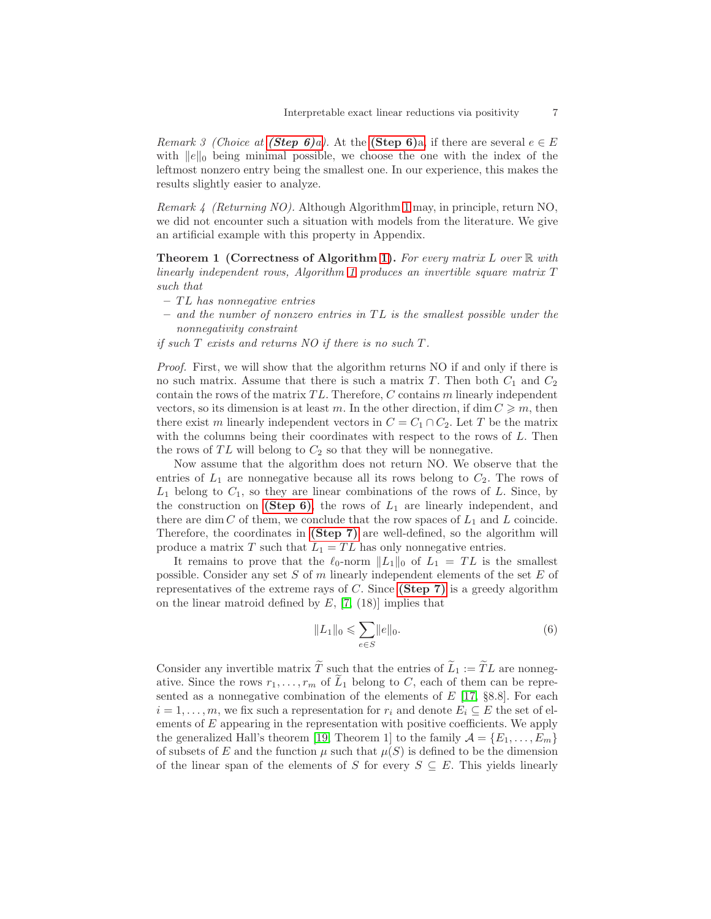*Remark 3 (Choice at [\(Step 6\)](#page-5-5)a).* At the (Step 6)a, if there are several  $e \in E$ with  $||e||_0$  being minimal possible, we choose the one with the index of the leftmost nonzero entry being the smallest one. In our experience, this makes the results slightly easier to analyze.

<span id="page-6-1"></span>Remark 4 (Returning NO). Although Algorithm [1](#page-5-0) may, in principle, return NO, we did not encounter such a situation with models from the literature. We give an artificial example with this property in Appendix.

**Theorem 1 (Correctness of Algorithm [1\)](#page-5-0).** For every matrix L over  $\mathbb R$  with linearly independent rows, Algorithm [1](#page-5-0) produces an invertible square matrix T such that

- $-TL$  has nonnegative entries
- $-$  and the number of nonzero entries in TL is the smallest possible under the nonnegativity constraint
- if such  $T$  exists and returns NO if there is no such  $T$ .

Proof. First, we will show that the algorithm returns NO if and only if there is no such matrix. Assume that there is such a matrix T. Then both  $C_1$  and  $C_2$ contain the rows of the matrix  $TL$ . Therefore,  $C$  contains  $m$  linearly independent vectors, so its dimension is at least m. In the other direction, if  $\dim C \geq m$ , then there exist m linearly independent vectors in  $C = C_1 \cap C_2$ . Let T be the matrix with the columns being their coordinates with respect to the rows of L. Then the rows of  $TL$  will belong to  $C_2$  so that they will be nonnegative.

Now assume that the algorithm does not return NO. We observe that the entries of  $L_1$  are nonnegative because all its rows belong to  $C_2$ . The rows of  $L_1$  belong to  $C_1$ , so they are linear combinations of the rows of  $L$ . Since, by the construction on [\(Step 6\)](#page-5-3), the rows of  $L_1$  are linearly independent, and there are dim C of them, we conclude that the row spaces of  $L_1$  and L coincide. Therefore, the coordinates in [\(Step 7\)](#page-5-6) are well-defined, so the algorithm will produce a matrix T such that  $L_1 = TL$  has only nonnegative entries.

It remains to prove that the  $\ell_0$ -norm  $||L_1||_0$  of  $L_1 = TL$  is the smallest possible. Consider any set  $S$  of  $m$  linearly independent elements of the set  $E$  of representatives of the extreme rays of  $C$ . Since [\(Step 7\)](#page-5-6) is a greedy algorithm on the linear matroid defined by  $E$ , [\[7,](#page-16-11) (18)] implies that

<span id="page-6-0"></span>
$$
||L_1||_0 \leqslant \sum_{e \in S} ||e||_0.
$$
 (6)

Consider any invertible matrix  $\tilde{T}$  such that the entries of  $\tilde{L}_1 := \tilde{T}L$  are nonnegative. Since the rows  $r_1, \ldots, r_m$  of  $\tilde{L}_1$  belong to C, each of them can be represented as a nonnegative combination of the elements of  $E$  [\[17,](#page-16-7) §8.8]. For each  $i = 1, \ldots, m$ , we fix such a representation for  $r_i$  and denote  $E_i \subseteq E$  the set of elements of E appearing in the representation with positive coefficients. We apply the generalized Hall's theorem [\[19,](#page-16-12) Theorem 1] to the family  $\mathcal{A} = \{E_1, \ldots, E_m\}$ of subsets of E and the function  $\mu$  such that  $\mu(S)$  is defined to be the dimension of the linear span of the elements of S for every  $S \subseteq E$ . This yields linearly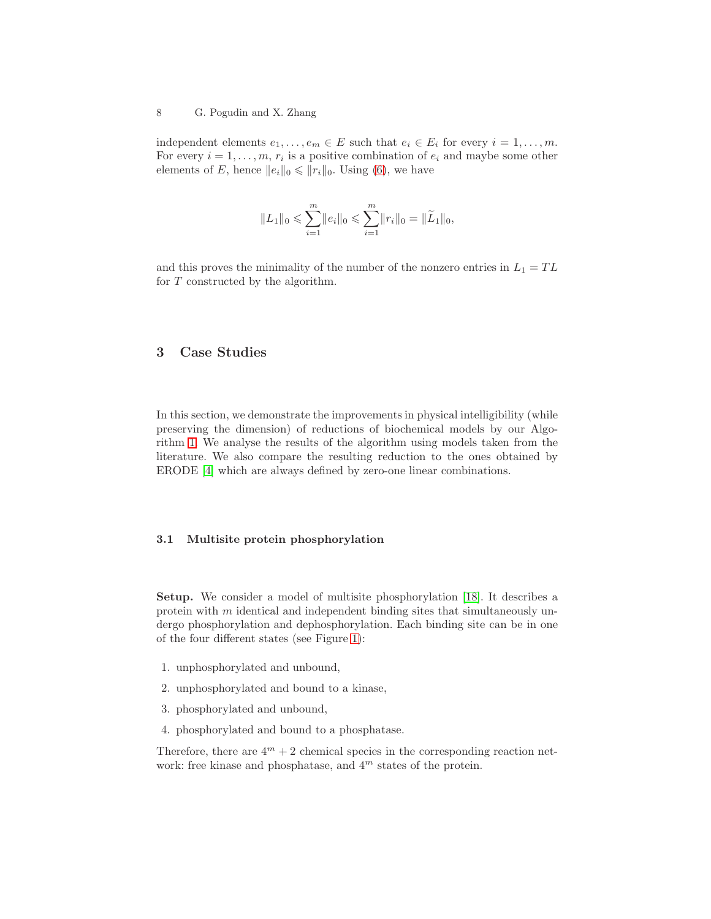independent elements  $e_1, \ldots, e_m \in E$  such that  $e_i \in E_i$  for every  $i = 1, \ldots, m$ . For every  $i = 1, \ldots, m, r_i$  is a positive combination of  $e_i$  and maybe some other elements of E, hence  $||e_i||_0 \le ||r_i||_0$ . Using [\(6\)](#page-6-0), we have

$$
||L_1||_0 \leqslant \sum_{i=1}^m ||e_i||_0 \leqslant \sum_{i=1}^m ||r_i||_0 = ||\widetilde{L}_1||_0,
$$

and this proves the minimality of the number of the nonzero entries in  $L_1 = TL$ for T constructed by the algorithm.

## 3 Case Studies

In this section, we demonstrate the improvements in physical intelligibility (while preserving the dimension) of reductions of biochemical models by our Algorithm [1.](#page-5-0) We analyse the results of the algorithm using models taken from the literature. We also compare the resulting reduction to the ones obtained by ERODE [\[4\]](#page-15-3) which are always defined by zero-one linear combinations.

## <span id="page-7-0"></span>3.1 Multisite protein phosphorylation

Setup. We consider a model of multisite phosphorylation [\[18\]](#page-16-5). It describes a protein with  $m$  identical and independent binding sites that simultaneously undergo phosphorylation and dephosphorylation. Each binding site can be in one of the four different states (see Figure [1\)](#page-8-0):

- 1. unphosphorylated and unbound,
- 2. unphosphorylated and bound to a kinase,
- 3. phosphorylated and unbound,
- 4. phosphorylated and bound to a phosphatase.

Therefore, there are  $4^m + 2$  chemical species in the corresponding reaction network: free kinase and phosphatase, and  $4<sup>m</sup>$  states of the protein.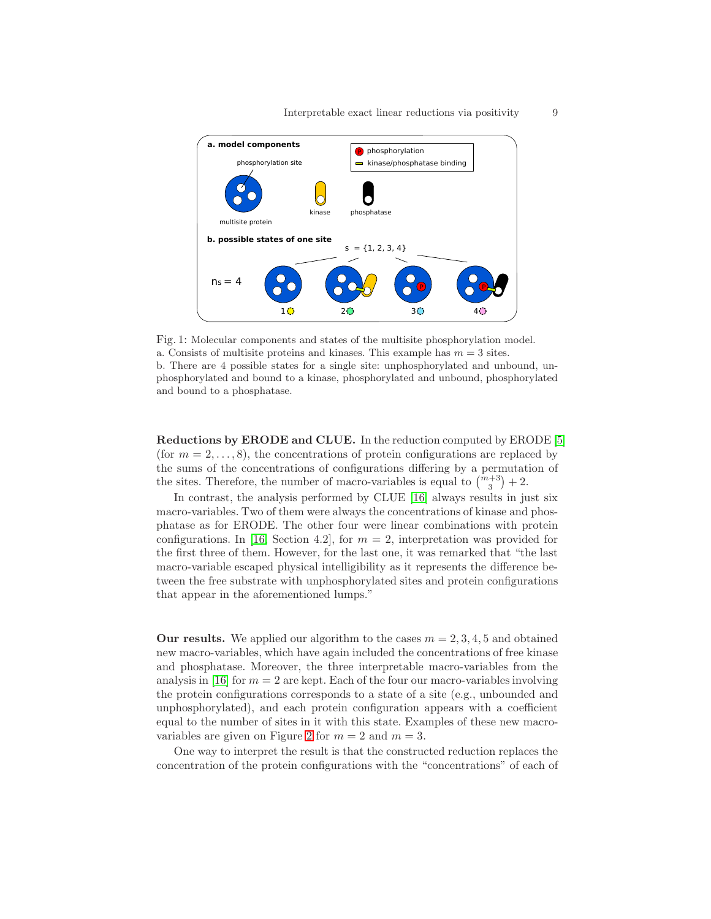<span id="page-8-0"></span>

Fig. 1: Molecular components and states of the multisite phosphorylation model. a. Consists of multisite proteins and kinases. This example has  $m = 3$  sites. b. There are 4 possible states for a single site: unphosphorylated and unbound, unphosphorylated and bound to a kinase, phosphorylated and unbound, phosphorylated and bound to a phosphatase.

Reductions by ERODE and CLUE. In the reduction computed by ERODE [\[5\]](#page-15-2) (for  $m = 2, \ldots, 8$ ), the concentrations of protein configurations are replaced by the sums of the concentrations of configurations differing by a permutation of the sites. Therefore, the number of macro-variables is equal to  $\binom{m+3}{3}$  + 2.

In contrast, the analysis performed by CLUE [\[16\]](#page-16-0) always results in just six macro-variables. Two of them were always the concentrations of kinase and phosphatase as for ERODE. The other four were linear combinations with protein configurations. In [\[16,](#page-16-0) Section 4.2], for  $m = 2$ , interpretation was provided for the first three of them. However, for the last one, it was remarked that "the last macro-variable escaped physical intelligibility as it represents the difference between the free substrate with unphosphorylated sites and protein configurations that appear in the aforementioned lumps."

**Our results.** We applied our algorithm to the cases  $m = 2, 3, 4, 5$  and obtained new macro-variables, which have again included the concentrations of free kinase and phosphatase. Moreover, the three interpretable macro-variables from the analysis in [\[16\]](#page-16-0) for  $m = 2$  are kept. Each of the four our macro-variables involving the protein configurations corresponds to a state of a site (e.g., unbounded and unphosphorylated), and each protein configuration appears with a coefficient equal to the number of sites in it with this state. Examples of these new macro-variables are given on Figure [2](#page-9-1) for  $m = 2$  and  $m = 3$ .

One way to interpret the result is that the constructed reduction replaces the concentration of the protein configurations with the "concentrations" of each of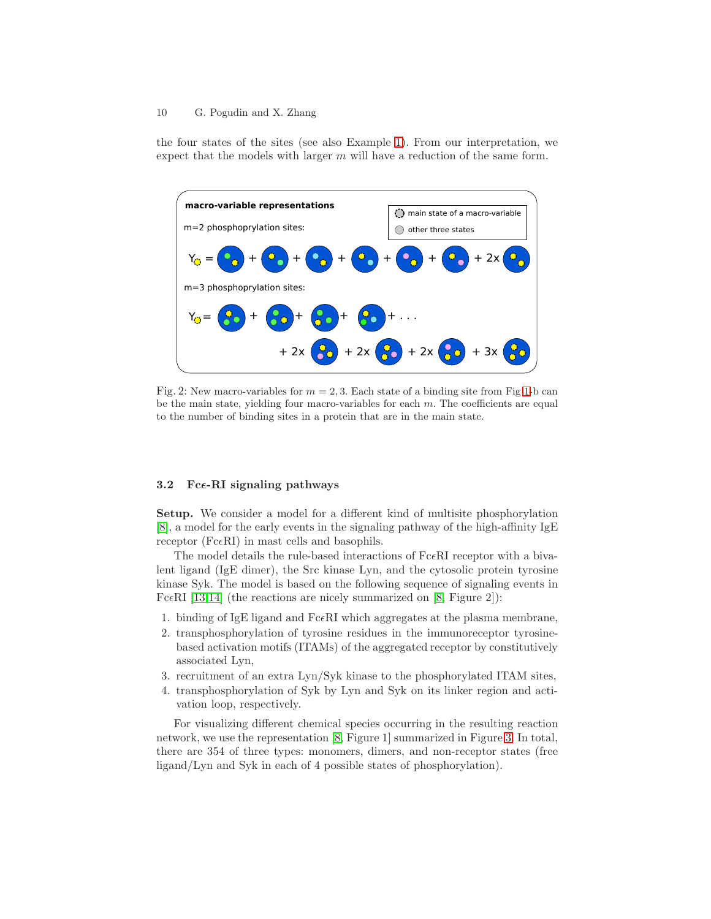the four states of the sites (see also Example [1\)](#page-2-1). From our interpretation, we expect that the models with larger  $m$  will have a reduction of the same form.

<span id="page-9-1"></span>

Fig. 2: New macro-variables for  $m = 2, 3$ . Each state of a binding site from Fig [1-](#page-8-0)b can be the main state, yielding four macro-variables for each  $m$ . The coefficients are equal to the number of binding sites in a protein that are in the main state.

## <span id="page-9-0"></span>3.2 Fc $\epsilon$ -RI signaling pathways

Setup. We consider a model for a different kind of multisite phosphorylation [\[8\]](#page-16-6), a model for the early events in the signaling pathway of the high-affinity IgE receptor ( $Fc\in RI$ ) in mast cells and basophils.

The model details the rule-based interactions of  $Fc\epsilon R$ I receptor with a bivalent ligand (IgE dimer), the Src kinase Lyn, and the cytosolic protein tyrosine kinase Syk. The model is based on the following sequence of signaling events in Fc $\epsilon$ RI [\[13,](#page-16-13)[14\]](#page-16-14) (the reactions are nicely summarized on [\[8,](#page-16-6) Figure 2]):

- 1. binding of IgE ligand and  $Fc\epsilon R$ I which aggregates at the plasma membrane,
- 2. transphosphorylation of tyrosine residues in the immunoreceptor tyrosinebased activation motifs (ITAMs) of the aggregated receptor by constitutively associated Lyn,
- 3. recruitment of an extra Lyn/Syk kinase to the phosphorylated ITAM sites,
- 4. transphosphorylation of Syk by Lyn and Syk on its linker region and activation loop, respectively.

For visualizing different chemical species occurring in the resulting reaction network, we use the representation [\[8,](#page-16-6) Figure 1] summarized in Figure [3.](#page-10-0) In total, there are 354 of three types: monomers, dimers, and non-receptor states (free ligand/Lyn and Syk in each of 4 possible states of phosphorylation).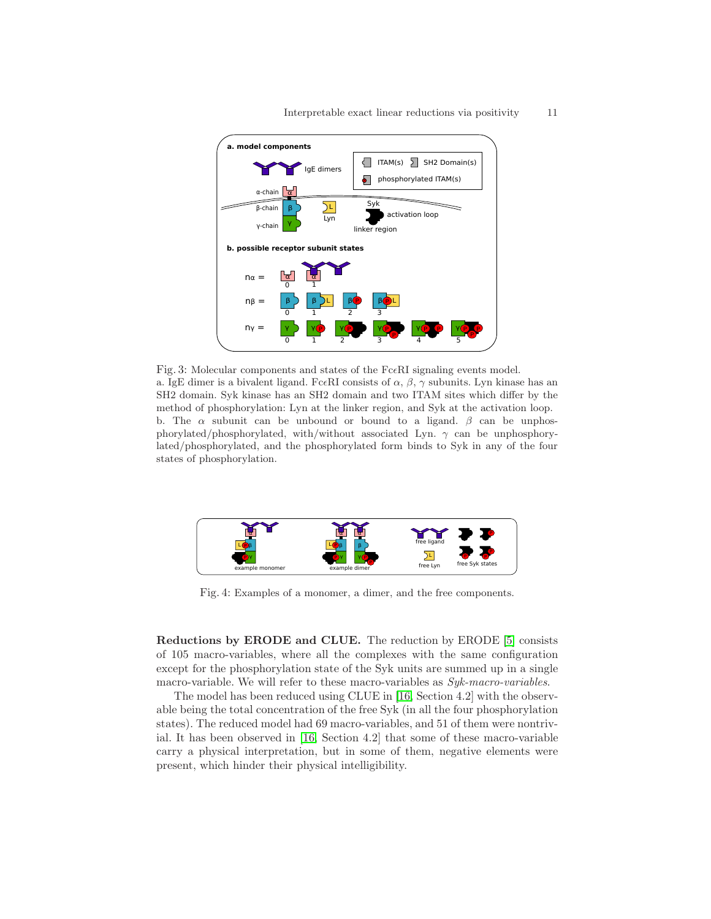<span id="page-10-0"></span>

Fig. 3: Molecular components and states of the  $Fc\epsilon R1$  signaling events model. a. IgE dimer is a bivalent ligand. Fc $\epsilon$ RI consists of  $\alpha$ ,  $\beta$ ,  $\gamma$  subunits. Lyn kinase has an SH2 domain. Syk kinase has an SH2 domain and two ITAM sites which differ by the method of phosphorylation: Lyn at the linker region, and Syk at the activation loop. b. The  $\alpha$  subunit can be unbound or bound to a ligand.  $\beta$  can be unphosphorylated/phosphorylated, with/without associated Lyn.  $\gamma$  can be unphosphorylated/phosphorylated, and the phosphorylated form binds to Syk in any of the four states of phosphorylation.



Fig. 4: Examples of a monomer, a dimer, and the free components.

Reductions by ERODE and CLUE. The reduction by ERODE [\[5\]](#page-15-2) consists of 105 macro-variables, where all the complexes with the same configuration except for the phosphorylation state of the Syk units are summed up in a single macro-variable. We will refer to these macro-variables as  $Syk\text{-}macro\text{-}variables$ .

The model has been reduced using CLUE in [\[16,](#page-16-0) Section 4.2] with the observable being the total concentration of the free Syk (in all the four phosphorylation states). The reduced model had 69 macro-variables, and 51 of them were nontrivial. It has been observed in [\[16,](#page-16-0) Section 4.2] that some of these macro-variable carry a physical interpretation, but in some of them, negative elements were present, which hinder their physical intelligibility.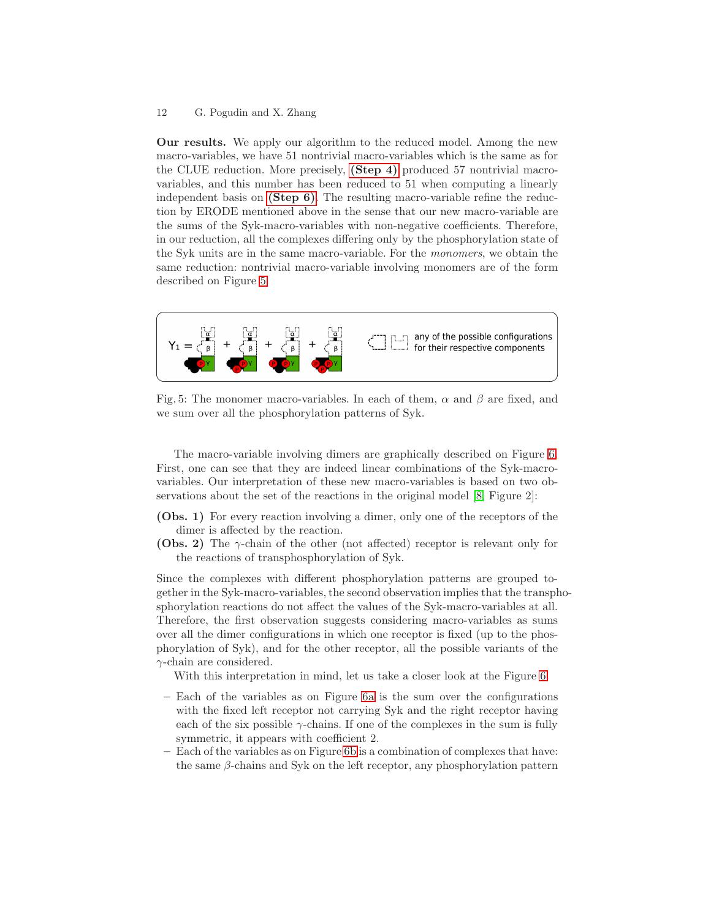Our results. We apply our algorithm to the reduced model. Among the new macro-variables, we have 51 nontrivial macro-variables which is the same as for the CLUE reduction. More precisely, [\(Step 4\)](#page-5-2) produced 57 nontrivial macrovariables, and this number has been reduced to 51 when computing a linearly independent basis on [\(Step 6\)](#page-5-3). The resulting macro-variable refine the reduction by ERODE mentioned above in the sense that our new macro-variable are the sums of the Syk-macro-variables with non-negative coefficients. Therefore, in our reduction, all the complexes differing only by the phosphorylation state of the Syk units are in the same macro-variable. For the monomers, we obtain the same reduction: nontrivial macro-variable involving monomers are of the form described on Figure [5.](#page-11-0)

<span id="page-11-0"></span>

Fig. 5: The monomer macro-variables. In each of them,  $\alpha$  and  $\beta$  are fixed, and we sum over all the phosphorylation patterns of Syk.

The macro-variable involving dimers are graphically described on Figure [6.](#page-12-1) First, one can see that they are indeed linear combinations of the Syk-macrovariables. Our interpretation of these new macro-variables is based on two observations about the set of the reactions in the original model [\[8,](#page-16-6) Figure 2]:

- (Obs. 1) For every reaction involving a dimer, only one of the receptors of the dimer is affected by the reaction.
- (Obs. 2) The γ-chain of the other (not affected) receptor is relevant only for the reactions of transphosphorylation of Syk.

Since the complexes with different phosphorylation patterns are grouped together in the Syk-macro-variables, the second observation implies that the transphosphorylation reactions do not affect the values of the Syk-macro-variables at all. Therefore, the first observation suggests considering macro-variables as sums over all the dimer configurations in which one receptor is fixed (up to the phosphorylation of Syk), and for the other receptor, all the possible variants of the  $\gamma$ -chain are considered.

With this interpretation in mind, let us take a closer look at the Figure [6:](#page-12-1)

- Each of the variables as on Figure [6a](#page-12-1) is the sum over the configurations with the fixed left receptor not carrying Syk and the right receptor having each of the six possible  $\gamma$ -chains. If one of the complexes in the sum is fully symmetric, it appears with coefficient 2.
- Each of the variables as on Figure [6b](#page-12-1) is a combination of complexes that have: the same  $\beta$ -chains and Syk on the left receptor, any phosphorylation pattern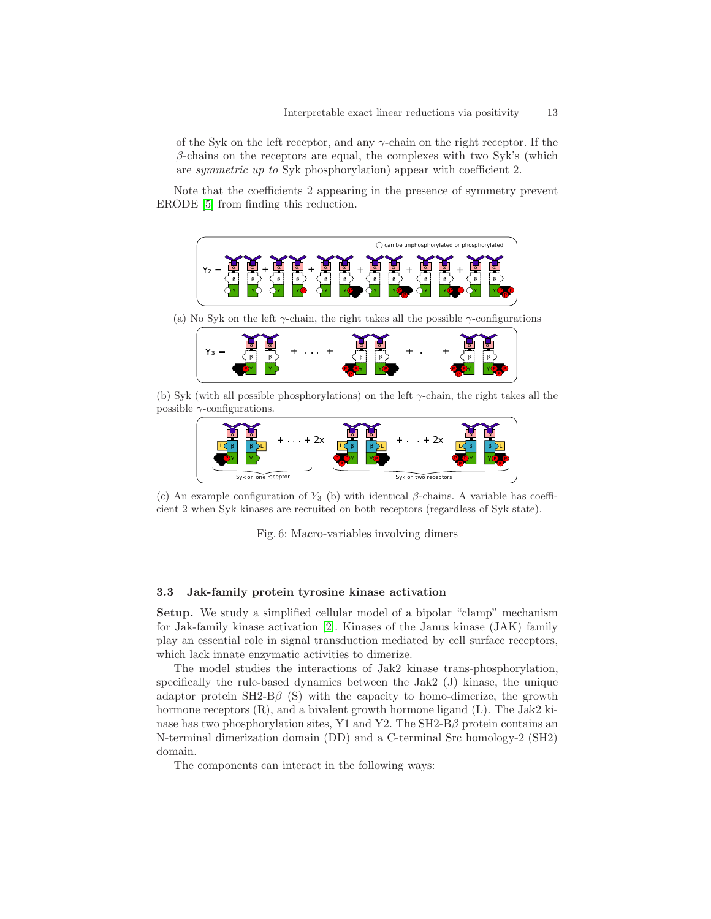of the Syk on the left receptor, and any γ-chain on the right receptor. If the  $\beta$ -chains on the receptors are equal, the complexes with two Syk's (which are symmetric up to Syk phosphorylation) appear with coefficient 2.

<span id="page-12-1"></span>Note that the coefficients 2 appearing in the presence of symmetry prevent ERODE [\[5\]](#page-15-2) from finding this reduction.



(a) No Syk on the left  $\gamma$ -chain, the right takes all the possible  $\gamma$ -configurations



(b) Syk (with all possible phosphorylations) on the left  $\gamma$ -chain, the right takes all the possible  $\gamma$ -configurations.



(c) An example configuration of  $Y_3$  (b) with identical  $\beta$ -chains. A variable has coefficient 2 when Syk kinases are recruited on both receptors (regardless of Syk state).

Fig. 6: Macro-variables involving dimers

## <span id="page-12-0"></span>3.3 Jak-family protein tyrosine kinase activation

Setup. We study a simplified cellular model of a bipolar "clamp" mechanism for Jak-family kinase activation [\[2\]](#page-15-4). Kinases of the Janus kinase (JAK) family play an essential role in signal transduction mediated by cell surface receptors, which lack innate enzymatic activities to dimerize.

The model studies the interactions of Jak2 kinase trans-phosphorylation, specifically the rule-based dynamics between the Jak2 (J) kinase, the unique adaptor protein  $SH2-B\beta$  (S) with the capacity to homo-dimerize, the growth hormone receptors  $(R)$ , and a bivalent growth hormone ligand  $(L)$ . The Jak2 kinase has two phosphorylation sites, Y1 and Y2. The  $SH2-B\beta$  protein contains an N-terminal dimerization domain (DD) and a C-terminal Src homology-2 (SH2) domain.

The components can interact in the following ways: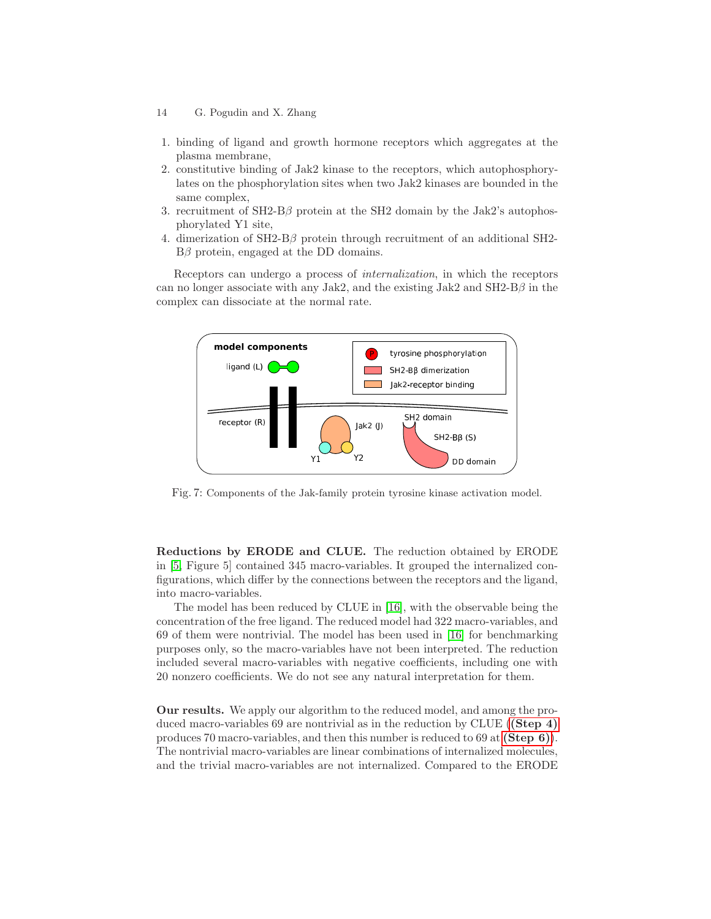- 14 G. Pogudin and X. Zhang
- 1. binding of ligand and growth hormone receptors which aggregates at the plasma membrane,
- 2. constitutive binding of Jak2 kinase to the receptors, which autophosphorylates on the phosphorylation sites when two Jak2 kinases are bounded in the same complex,
- 3. recruitment of  $SH2-B\beta$  protein at the SH2 domain by the Jak2's autophosphorylated Y1 site,
- 4. dimerization of SH2-Bβ protein through recruitment of an additional SH2-  $B\beta$  protein, engaged at the DD domains.

Receptors can undergo a process of internalization, in which the receptors can no longer associate with any Jak2, and the existing Jak2 and SH2-B $\beta$  in the complex can dissociate at the normal rate.



Fig. 7: Components of the Jak-family protein tyrosine kinase activation model.

Reductions by ERODE and CLUE. The reduction obtained by ERODE in [\[5,](#page-15-2) Figure 5] contained 345 macro-variables. It grouped the internalized configurations, which differ by the connections between the receptors and the ligand, into macro-variables.

The model has been reduced by CLUE in [\[16\]](#page-16-0), with the observable being the concentration of the free ligand. The reduced model had 322 macro-variables, and 69 of them were nontrivial. The model has been used in [\[16\]](#page-16-0) for benchmarking purposes only, so the macro-variables have not been interpreted. The reduction included several macro-variables with negative coefficients, including one with 20 nonzero coefficients. We do not see any natural interpretation for them.

Our results. We apply our algorithm to the reduced model, and among the produced macro-variables 69 are nontrivial as in the reduction by CLUE ([\(Step 4\)](#page-5-2) produces 70 macro-variables, and then this number is reduced to 69 at [\(Step 6\)](#page-5-3)). The nontrivial macro-variables are linear combinations of internalized molecules, and the trivial macro-variables are not internalized. Compared to the ERODE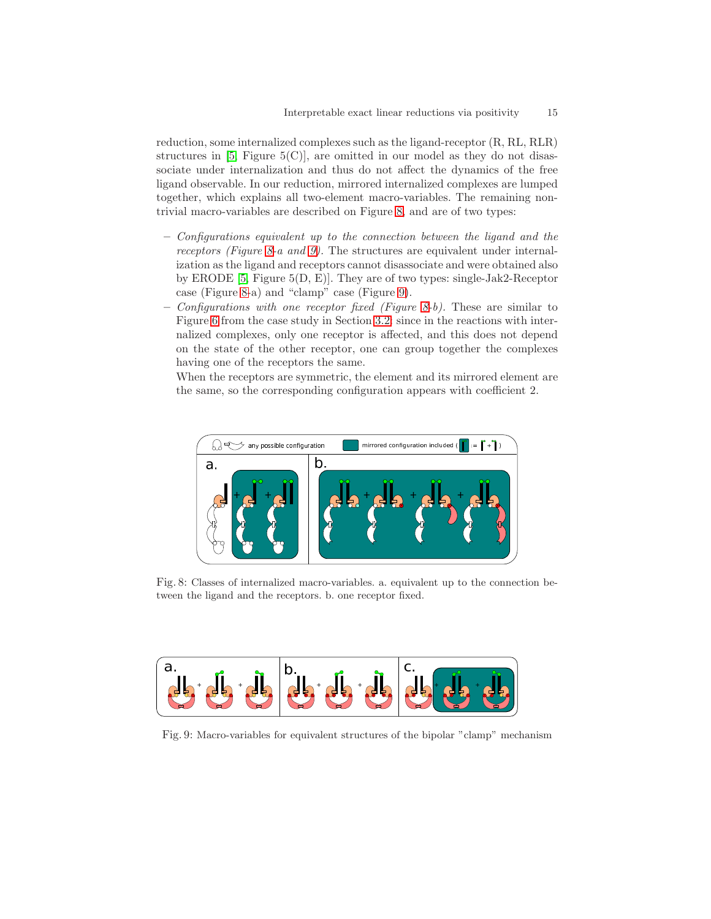reduction, some internalized complexes such as the ligand-receptor (R, RL, RLR) structures in  $[5,$  Figure  $5(C)$ , are omitted in our model as they do not disassociate under internalization and thus do not affect the dynamics of the free ligand observable. In our reduction, mirrored internalized complexes are lumped together, which explains all two-element macro-variables. The remaining nontrivial macro-variables are described on Figure [8,](#page-14-0) and are of two types:

- Configurations equivalent up to the connection between the ligand and the receptors (Figure [8-](#page-14-0)a and [9\)](#page-14-1). The structures are equivalent under internalization as the ligand and receptors cannot disassociate and were obtained also by ERODE [\[5,](#page-15-2) Figure 5(D, E)]. They are of two types: single-Jak2-Receptor case (Figure [8-](#page-14-0)a) and "clamp" case (Figure [9\)](#page-14-1).
- Configurations with one receptor fixed (Figure [8-](#page-14-0)b). These are similar to Figure [6](#page-12-1) from the case study in Section [3.2:](#page-9-0) since in the reactions with internalized complexes, only one receptor is affected, and this does not depend on the state of the other receptor, one can group together the complexes having one of the receptors the same.

When the receptors are symmetric, the element and its mirrored element are the same, so the corresponding configuration appears with coefficient 2.

<span id="page-14-0"></span>

Fig. 8: Classes of internalized macro-variables. a. equivalent up to the connection between the ligand and the receptors. b. one receptor fixed.

<span id="page-14-1"></span>

Fig. 9: Macro-variables for equivalent structures of the bipolar "clamp" mechanism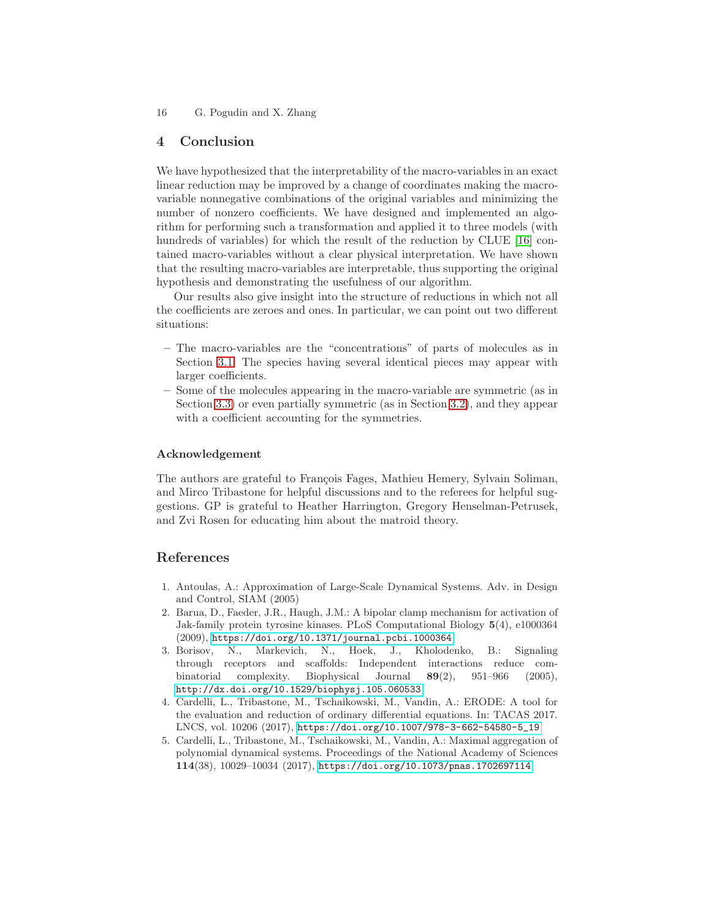## 4 Conclusion

We have hypothesized that the interpretability of the macro-variables in an exact linear reduction may be improved by a change of coordinates making the macrovariable nonnegative combinations of the original variables and minimizing the number of nonzero coefficients. We have designed and implemented an algorithm for performing such a transformation and applied it to three models (with hundreds of variables) for which the result of the reduction by CLUE [\[16\]](#page-16-0) contained macro-variables without a clear physical interpretation. We have shown that the resulting macro-variables are interpretable, thus supporting the original hypothesis and demonstrating the usefulness of our algorithm.

Our results also give insight into the structure of reductions in which not all the coefficients are zeroes and ones. In particular, we can point out two different situations:

- The macro-variables are the "concentrations" of parts of molecules as in Section [3.1.](#page-7-0) The species having several identical pieces may appear with larger coefficients.
- Some of the molecules appearing in the macro-variable are symmetric (as in Section [3.3\)](#page-12-0) or even partially symmetric (as in Section [3.2\)](#page-9-0), and they appear with a coefficient accounting for the symmetries.

#### Acknowledgement

The authors are grateful to François Fages, Mathieu Hemery, Sylvain Soliman, and Mirco Tribastone for helpful discussions and to the referees for helpful suggestions. GP is grateful to Heather Harrington, Gregory Henselman-Petrusek, and Zvi Rosen for educating him about the matroid theory.

## References

- <span id="page-15-0"></span>1. Antoulas, A.: Approximation of Large-Scale Dynamical Systems. Adv. in Design and Control, SIAM (2005)
- <span id="page-15-4"></span>2. Barua, D., Faeder, J.R., Haugh, J.M.: A bipolar clamp mechanism for activation of Jak-family protein tyrosine kinases. PLoS Computational Biology 5(4), e1000364 (2009), <https://doi.org/10.1371/journal.pcbi.1000364>
- <span id="page-15-1"></span>3. Borisov, N., Markevich, N., Hoek, J., Kholodenko, B.: Signaling through receptors and scaffolds: Independent interactions reduce combinatorial complexity. Biophysical Journal 89(2), 951–966 (2005), <http://dx.doi.org/10.1529/biophysj.105.060533>
- <span id="page-15-3"></span>4. Cardelli, L., Tribastone, M., Tschaikowski, M., Vandin, A.: ERODE: A tool for the evaluation and reduction of ordinary differential equations. In: TACAS 2017. LNCS, vol. 10206 (2017), [https://doi.org/10.1007/978-3-662-54580-5\\_19](https://doi.org/10.1007/978-3-662-54580-5_19)
- <span id="page-15-2"></span>5. Cardelli, L., Tribastone, M., Tschaikowski, M., Vandin, A.: Maximal aggregation of polynomial dynamical systems. Proceedings of the National Academy of Sciences 114(38), 10029–10034 (2017), <https://doi.org/10.1073/pnas.1702697114>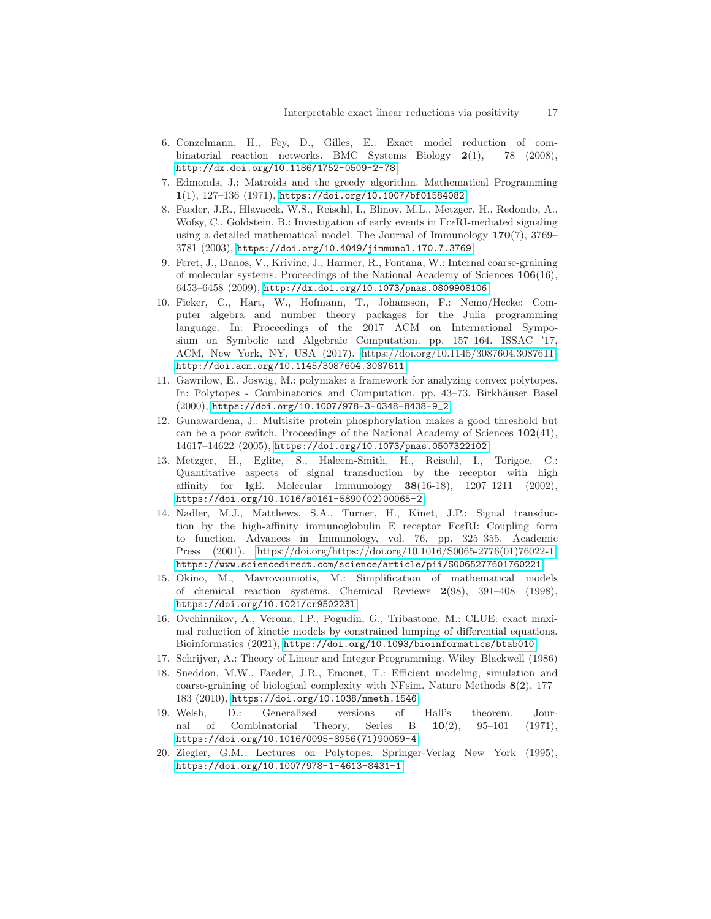- <span id="page-16-2"></span>6. Conzelmann, H., Fey, D., Gilles, E.: Exact model reduction of combinatorial reaction networks. BMC Systems Biology  $2(1)$ , 78 (2008), <http://dx.doi.org/10.1186/1752-0509-2-78>
- <span id="page-16-11"></span><span id="page-16-6"></span>7. Edmonds, J.: Matroids and the greedy algorithm. Mathematical Programming 1(1), 127–136 (1971), <https://doi.org/10.1007/bf01584082>
- 8. Faeder, J.R., Hlavacek, W.S., Reischl, I., Blinov, M.L., Metzger, H., Redondo, A., Wofsy, C., Goldstein, B.: Investigation of early events in  $Fc\in RI$ -mediated signaling using a detailed mathematical model. The Journal of Immunology 170(7), 3769– 3781 (2003), <https://doi.org/10.4049/jimmunol.170.7.3769>
- <span id="page-16-3"></span>9. Feret, J., Danos, V., Krivine, J., Harmer, R., Fontana, W.: Internal coarse-graining of molecular systems. Proceedings of the National Academy of Sciences 106(16), 6453–6458 (2009), <http://dx.doi.org/10.1073/pnas.0809908106>
- <span id="page-16-10"></span>10. Fieker, C., Hart, W., Hofmann, T., Johansson, F.: Nemo/Hecke: Computer algebra and number theory packages for the Julia programming language. In: Proceedings of the 2017 ACM on International Symposium on Symbolic and Algebraic Computation. pp. 157–164. ISSAC '17, ACM, New York, NY, USA (2017). [https://doi.org/10.1145/3087604.3087611,](https://doi.org/10.1145/3087604.3087611) <http://doi.acm.org/10.1145/3087604.3087611>
- <span id="page-16-9"></span>11. Gawrilow, E., Joswig, M.: polymake: a framework for analyzing convex polytopes. In: Polytopes - Combinatorics and Computation, pp. 43–73. Birkhäuser Basel (2000), [https://doi.org/10.1007/978-3-0348-8438-9\\_2](https://doi.org/10.1007/978-3-0348-8438-9_2)
- <span id="page-16-4"></span>12. Gunawardena, J.: Multisite protein phosphorylation makes a good threshold but can be a poor switch. Proceedings of the National Academy of Sciences 102(41), 14617–14622 (2005), <https://doi.org/10.1073/pnas.0507322102>
- <span id="page-16-13"></span>13. Metzger, H., Eglite, S., Haleem-Smith, H., Reischl, I., Torigoe, C.: Quantitative aspects of signal transduction by the receptor with high affinity for IgE. Molecular Immunology 38(16-18), 1207–1211 (2002), [https://doi.org/10.1016/s0161-5890\(02\)00065-2](https://doi.org/10.1016/s0161-5890(02)00065-2)
- <span id="page-16-14"></span>14. Nadler, M.J., Matthews, S.A., Turner, H., Kinet, J.P.: Signal transduction by the high-affinity immunoglobulin E receptor FcεRI: Coupling form to function. Advances in Immunology, vol. 76, pp. 325–355. Academic Press (2001). [https://doi.org/https://doi.org/10.1016/S0065-2776\(01\)76022-1,](https://doi.org/https://doi.org/10.1016/S0065-2776(01)76022-1) <https://www.sciencedirect.com/science/article/pii/S0065277601760221>
- <span id="page-16-1"></span>15. Okino, M., Mavrovouniotis, M.: Simplification of mathematical models of chemical reaction systems. Chemical Reviews 2(98), 391–408 (1998), <https://doi.org/10.1021/cr950223l>
- <span id="page-16-0"></span>16. Ovchinnikov, A., Verona, I.P., Pogudin, G., Tribastone, M.: CLUE: exact maximal reduction of kinetic models by constrained lumping of differential equations. Bioinformatics (2021), <https://doi.org/10.1093/bioinformatics/btab010>
- <span id="page-16-7"></span><span id="page-16-5"></span>17. Schrijver, A.: Theory of Linear and Integer Programming. Wiley–Blackwell (1986)
- 18. Sneddon, M.W., Faeder, J.R., Emonet, T.: Efficient modeling, simulation and coarse-graining of biological complexity with NFsim. Nature Methods 8(2), 177– 183 (2010), <https://doi.org/10.1038/nmeth.1546>
- <span id="page-16-12"></span>19. Welsh, D.: Generalized versions of Hall's theorem. Journal of Combinatorial Theory, Series B 10(2), 95–101 (1971), [https://doi.org/10.1016/0095-8956\(71\)90069-4](https://doi.org/10.1016/0095-8956(71)90069-4)
- <span id="page-16-8"></span>20. Ziegler, G.M.: Lectures on Polytopes. Springer-Verlag New York (1995), <https://doi.org/10.1007/978-1-4613-8431-1>